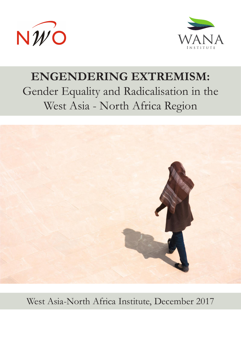



# **ENGENDERING EXTREMISM:**  Gender Equality and Radicalisation in the West Asia - North Africa Region



West Asia-North Africa Institute, December 2017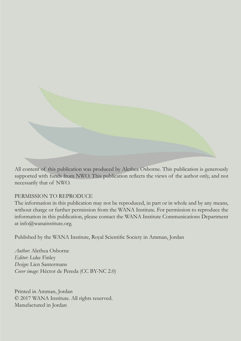

All content of this publication was produced by Alethea Osborne. This publication is generously supported with funds from NWO. This publication reflects the views of the author only, and not necessarily that of NWO.

#### PERMISSION TO REPRODUCE

The information in this publication may not be reproduced, in part or in whole and by any means, without charge or further permission from the WANA Institute. For permission to reproduce the information in this publication, please contact the WANA Institute Communications Department at info@wanainstitute.org.

Published by the WANA Institute, Royal Scientific Society in Amman, Jordan

*Author*: Alethea Osborne *Editor*: Luke Finley *Design:* Lien Santermans *Cover image*: Héctor de Pereda (CC BY-NC 2.0)

Printed in Amman, Jordan © 2017 WANA Institute. All rights reserved. Manufactured in Jordan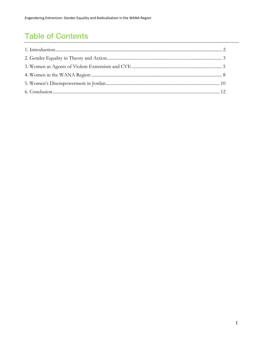## **Table of Contents**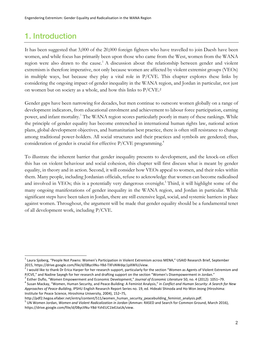### 1. Introduction

It has been suggested that 3,000 of the 20,000 foreign fighters who have travelled to join Daesh have been women, and while focus has primarily been upon those who came from the West, women from the WANA region were also drawn to the cause.<sup>1</sup> A discussion about the relationship between gender and violent extremism is therefore imperative, not only because women are affected by violent extremist groups (VEOs) in multiple ways, but because they play a vital role in P/CVE. This chapter explores these links by considering the ongoing impact of gender inequality in the WANA region, and Jordan in particular, not just on women but on society as a whole, and how this links to P/CVE.<sup>2</sup>

Gender gaps have been narrowing for decades, but men continue to outscore women globally on a range of development indicators, from educational enrolment and achievement to labour force participation, earning power, and infant mortality.<sup>3</sup> The WANA region scores particularly poorly in many of these rankings. While the principle of gender equality has become entrenched in international human rights law, national action plans, global development objectives, and humanitarian best practice, there is often still resistance to change among traditional power-holders. All social structures and their practices and symbols are gendered; thus, consideration of gender is crucial for effective  $P/CVE$  programming.<sup>4</sup>

To illustrate the inherent barrier that gender inequality presents to development, and the knock-on effect this has on violent behaviour and social cohesion, this chapter will first discuss what is meant by gender equality, in theory and in action. Second, it will consider how VEOs appeal to women, and their roles within them. Many people, including Jordanian officials, refuse to acknowledge that women can become radicalised and involved in VEOs; this is a potentially very dangerous oversight.<sup>5</sup> Third, it will highlight some of the many ongoing manifestations of gender inequality in the WANA region, and Jordan in particular. While significant steps have been taken in Jordan, there are still extensive legal, social, and systemic barriers in place against women. Throughout, the argument will be made that gender equality should be a fundamental tenet of all development work, including P/CVE.

 $1$  Laura Sjoberg, "People Not Pawns: Women's Participation in Violent Extremism across MENA," USAID Research Brief, September 2015, https://drive.google.com/file/d/0BycIINu-Y8d-TXFsNWdqc1pXWlU/view.<br><sup>2</sup> I would like to thank Dr Erica Harper for her research support, particularly for the section "Women as Agents of Violent Extremism and

P/CVE," and Nadine Sayegh for her research and drafting support on the section "Women's Disempowerment in Jordan."<br><sup>3</sup> Esther Duflo, "Women Empowerment and Economic Development," Journal of Economic Literature 50, no. 4 (2

*Approaches of Peace-Building*, IPSHU English Research Report Series no. 19, ed. Hideaki Shinoda and Ho-Won Jeong (Hiroshima: Institute for Peace Science, Hiroshima University, 2004), 152–75,

http://pdf2.hegoa.efaber.net/entry/content/511/women\_human\_security\_peacebuilding\_feminist\_analysis.pdf.

<sup>5</sup> UN Women Jordan, *Women and Violent Radicalization in Jordan* (Amman: RASED and Search for Common Ground, March 2016), https://drive.google.com/file/d/0BycIINu-Y8d-YzhEUC1leEJiaUk/view.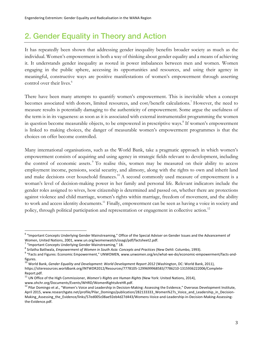#### 2. Gender Equality in Theory and Action

It has repeatedly been shown that addressing gender inequality benefits broader society as much as the individual. Women's empowerment is both a way of thinking about gender equality and a means of achieving it. It understands gender inequality as rooted in power imbalances between men and women. Women engaging in the public sphere, accessing its opportunities and resources, and using their agency in meaningful, constructive ways are positive manifestations of women's empowerment through asserting control over their lives.<sup>6</sup>

There have been many attempts to quantify women's empowerment. This is inevitable when a concept becomes associated with donors, limited resources, and cost/benefit calculations.<sup>7</sup> However, the need to measure results is potentially damaging to the authenticity of empowerment. Some argue the usefulness of the term is in its vagueness: as soon as it is associated with external instrumentalist programming the women in question become measurable objects, to be empowered in prescriptive ways.<sup>8</sup> If women's empowerment is linked to making choices, the danger of measurable women's empowerment programmes is that the choices on offer become controlled.

Many international organisations, such as the World Bank, take a pragmatic approach in which women's empowerment consists of acquiring and using agency in strategic fields relevant to development, including the control of economic assets.<sup>9</sup> To realise this, women may be measured on their ability to access employment income, pensions, social security, and alimony, along with the rights to own and inherit land and make decisions over household finances.<sup>10</sup> A second commonly used measure of empowerment is a woman's level of decision-making power in her family and personal life. Relevant indicators include the gender roles assigned to wives, how citizenship is determined and passed on, whether there are protections against violence and child marriage, women's rights within marriage, freedom of movement, and the ability to work and access identity documents.<sup>11</sup> Finally, empowerment can be seen as having a voice in society and policy, through political participation and representation or engagement in collective action.<sup>12</sup>

- <sup>10</sup> World Bank, *Gender Equality and Development: World Development Report 2012* (Washington, DC: World Bank, 2011), https://siteresources.worldbank.org/INTWDR2012/Resources/7778105-1299699968583/7786210-1315936222006/Complete-Report.pdf.
- <sup>11</sup> UN Office of the High Commissioner, *Women's Rights are Human Rights* (New York: United Nations, 2014),

www.ohchr.org/Documents/Events/WHRD/WomenRightsAreHR.pdf.

 $6$  "Important Concepts Underlying Gender Mainstreaming," Office of the Special Adviser on Gender Issues and the Advancement of<br>Women, United Nations, 2001, www.un.org/womenwatch/osagi/pdf/factsheet2.pdf.

<sup>&</sup>lt;sup>7</sup> "Important Concepts Underlying Gender Mainstreaming," 18.<br><sup>8</sup> Srilatha Batliwala, *Empowerment of Women in South Asia: Concepts and Practices* (New Dehli: Columbo, 1993).<br><sup>9</sup> "Facts and Figures: Economic Empowerment," figures.

<sup>&</sup>lt;sup>12</sup> Pilar Domingo et al., "Women's Voice and Leadership in Decision-Making: Assessing the Evidence," Overseas Development Institute, April 2015, www.researchgate.net/profile/Pilar\_Domingo/publication/282133333\_Women%27s\_Voice\_and\_Leadership\_in\_Decision-Making\_Assessing\_the\_Evidence/links/57ed005c08ae92eb4d27d443/Womens-Voice-and-Leadership-in-Decision-Making-Assessingthe-Evidence.pdf.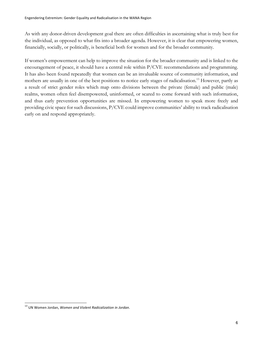As with any donor-driven development goal there are often difficulties in ascertaining what is truly best for the individual, as opposed to what fits into a broader agenda. However, it is clear that empowering women, financially, socially, or politically, is beneficial both for women and for the broader community.

If women's empowerment can help to improve the situation for the broader community and is linked to the encouragement of peace, it should have a central role within P/CVE recommendations and programming. It has also been found repeatedly that women can be an invaluable source of community information, and mothers are usually in one of the best positions to notice early stages of radicalisation.<sup>13</sup> However, partly as a result of strict gender roles which map onto divisions between the private (female) and public (male) realms, women often feel disempowered, uninformed, or scared to come forward with such information, and thus early prevention opportunities are missed. In empowering women to speak more freely and providing civic space for such discussions, P/CVE could improve communities' ability to track radicalisation early on and respond appropriately.

<sup>13</sup> UN Women Jordan, *Women and Violent Radicalization in Jordan*.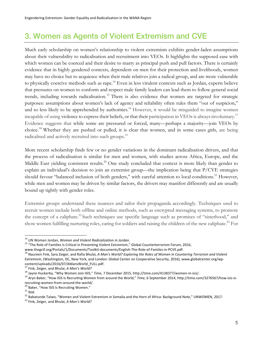#### 3. Women as Agents of Violent Extremism and CVE

Much early scholarship on women's relationship to violent extremism exhibits gender-laden assumptions about their vulnerability to radicalisation and recruitment into VEOs. It highlights the supposed ease with which women can be coerced and their desire to marry as principal push and pull factors. There is certainly evidence that in highly gendered contexts, dependent on men for their protection and livelihoods, women may have no choice but to acquiesce when their male relatives join a radical group, and are more vulnerable to physically coercive methods such as rape.<sup>14</sup> Even in less virulent contexts such as Jordan, experts believe that pressures on women to conform and respect male family leaders can lead them to follow general social trends, including towards radicalisation.<sup>15</sup> There is also evidence that women are targeted for strategic purposes: assumptions about women's lack of agency and reliability often rules them "out of suspicion," and so less likely to be apprehended by authorities.<sup>16</sup> However, it would be misguided to imagine women incapable of using violence to express their beliefs, or that their participation in VEOs is always involuntary.17 Evidence suggests that while some are pressured or forced, many—perhaps a majority—join VEOs by choice.18 Whether they are pushed or pulled, it is clear that women, and in some cases girls, are being radicalised and actively recruited into such groups.<sup>19</sup>

More recent scholarship finds few or no gender variations in the dominant radicalisation drivers, and that the process of radicalisation is similar for men and women, with studies across Africa, Europe, and the Middle East yielding consistent results.<sup>20</sup> One study concluded that context is more likely than gender to explain an individual's decision to join an extremist group—the implication being that P/CVE strategies should favour "balanced inclusion of both genders," with careful attention to local conditions.<sup>21</sup> However, while men and women may be driven by similar factors, the drivers may manifest differently and are usually bound up tightly with gender roles.

Extremist groups understand these nuances and tailor their propaganda accordingly. Techniques used to recruit women include both offline and online methods, such as encrypted messaging systems, to promote the concept of a caliphate.<sup>22</sup> Such techniques use specific language such as promises of "sisterhood," and show women fulfilling nurturing roles, caring for soldiers and raising the children of the new caliphate.<sup>23</sup> For

<sup>&</sup>lt;sup>14</sup> UN Women Jordan, *Women and Violent Radicalization in Jordan*.<br><sup>15</sup> "The Role of Families Is Critical in Preventing Violent Extremism," Global Counterterrorism Forum, 2016,

www.thegctf.org/Portals/1/Documents/Toolkit-documents/English-The-Role-of-Familes-in-PCVE.pdf.<br><sup>16</sup> Naureen Fink, Sara Zeiger, and Rafia Bhulai, A Man's World? Exploring the Roles of Women in Countering Terrorism and Viole *Extremism*, (Washington, DC, New York, and London: Global Center on Cooperative Security, 2016), www.globalcenter.org/wpcontent/uploads/2016/07/AMansWorld\_FULL.pdf.<br><sup>17</sup> Fink, Zeiger, and Bhulai, A *Man's World?*<br><sup>18</sup> Jayne Huckerby, "Why Women Join ISIS," Time, 7 December 2015, http://time.com/4138377/women-in-isis/.<br><sup>19</sup> Aryn Baker, "How

recruiting-women-from-around-the-world/.<br><sup>20</sup> Baker, "How ISIS Is Recruiting Women."<br><sup>21</sup> Ibid.<br><sup>22</sup> Babatunde Taiwo, "Women and Violent Extremism in Somalia and the Horn of Africa: Background Note," UNWOMEN, 2017.<br><sup>23</sup> Fi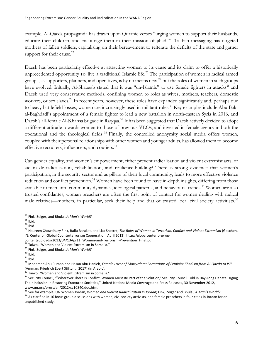example, Al-Qaeda propaganda has drawn upon Quranic verses "urging women to support their husbands, educate their children, and encourage them in their mission of jihad."24 Taliban messaging has targeted mothers of fallen soldiers, capitalising on their bereavement to reiterate the deficits of the state and garner support for their cause.<sup>25</sup>

Daesh has been particularly effective at attracting women to its cause and its claim to offer a historically unprecedented opportunity to live a traditional Islamic life.<sup>26</sup> The participation of women in radical armed groups, as supporters, planners, and operatives, is by no means new, $^{27}$  but the roles of women in such groups have evolved. Initially, Al-Shabaab stated that it was "un-Islamic" to use female fighters in attacks<sup>28</sup> and Daesh used very conservative methods, confining women to roles as wives, mothers, teachers, domestic workers, or sex slaves.<sup>29</sup> In recent years, however, these roles have expanded significantly and, perhaps due to heavy battlefield losses, women are increasingly used in militant roles.<sup>30</sup> Key examples include Abu Bakr al-Baghdadi's appointment of a female fighter to lead a new battalion in north-eastern Syria in 2016, and Daesh's all-female Al-Khansa brigade in Raqqaa.31 It has been suggested that Daesh actively decided to adopt a different attitude towards women to those of previous VEOs, and invested in female agency in both the operational and the theological fields.<sup>32</sup> Finally, the controlled anonymity social media offers women, coupled with their personal relationships with other women and younger adults, has allowed them to become effective recruiters, influencers, and couriers.<sup>33</sup>

Can gender equality, and women's empowerment, either prevent radicalisation and violent extremist acts, or aid in de-radicalisation, rehabilitation, and resilience-building? There is strong evidence that women's participation, in the security sector and as pillars of their local community, leads to more effective violence reduction and conflict prevention.<sup>34</sup> Women have been found to have in-depth insights, differing from those available to men, into community dynamics, ideological patterns, and behavioural trends.<sup>35</sup> Women are also trusted confidantes; woman preachers are often the first point of contact for women dealing with radical male relatives—mothers, in particular, seek their help and that of trusted local civil society activitists.<sup>36</sup>

<sup>&</sup>lt;sup>24</sup> Fink, Zeiger, and Bhulai, *A Man's World?*<br><sup>25</sup> Ibid.<br><sup>26</sup> Ibid.<br><sup>27</sup> Naureen Chowdhury Fink, Rafia Barakat, and Liat Shetret, *The Roles of Women in Terrorism, Conflict and Violent Extremism* (Goschen, IN: Center on Global Counterterrorism Cooperation, April 2013), http://globalcenter.org/wp-

content/uploads/2013/04/13Apr11\_Women-and-Terrorism-Prevention\_Final.pdf.<br><sup>28</sup> Taiwo, "Women and Violent Extremism in Somalia."<br><sup>29</sup> Fink, Zeiger, and Bhulai, *A Man's World?*<br><sup>30</sup> Ibid.<br><sup>32</sup> Mohamed Abu Ruman and Hasan Ab

<sup>&</sup>lt;sup>33</sup> Taiwo, "Women and Violent Extremism in Somalia."<br><sup>34</sup> Security Council, "'Wherever There Is Conflict, Women Must Be Part of the Solution,' Security Council Told in Day-Long Debate Urging Their Inclusion in Restoring Fractured Societies," United Nations Media Coverage and Press Releases, 30 November 2012,

www.un.org/press/en/2012/sc10840.doc.htm.<br><sup>35</sup> See for example, UN Women Jordan, *Women and Violent Radicalization in Jordan*; Fink, Zeiger and Bhulai, *A Man's World?*<br><sup>36</sup> As clarified in 16 focus group discussions with unpublished study.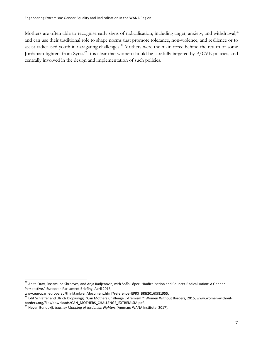Mothers are often able to recognise early signs of radicalisation, including anger, anxiety, and withdrawal,<sup>37</sup> and can use their traditional role to shape norms that promote tolerance, non-violence, and resilience or to assist radicalised youth in navigating challenges.<sup>38</sup> Mothers were the main force behind the return of some Jordanian fighters from Syria.<sup>39</sup> It is clear that women should be carefully targeted by P/CVE policies, and centrally involved in the design and implementation of such policies.

<sup>&</sup>lt;sup>37</sup> Anita Orav, Rosamund Shreeves, and Anja Radjenovic, with Sofía López, "Radicalisation and Counter-Radicalisation: A Gender Perspective," European Parliament Briefing, April 2016,

www.europarl.europa.eu/thinktank/en/document.html?reference=EPRS\_BRI(2016)581955.

<sup>&</sup>lt;sup>38</sup> Edit Schlaffer and Ulrich Kropiunigg, "Can Mothers Challenge Extremism?" Women Without Borders, 2015, www.women-withoutborders.org/files/downloads/CAN\_MOTHERS\_CHALLENGE\_EXTREMISM.pdf.

<sup>39</sup> Neven Bondokji, *Journey Mapping of Jordanian Fighters* (Amman: WANA Institute, 2017).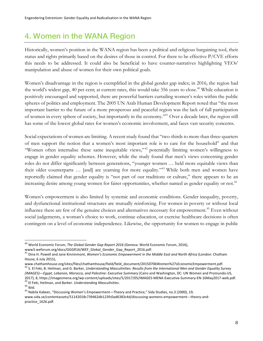#### 4. Women in the WANA Region

Historically, women's position in the WANA region has been a political and religious bargaining tool, their status and rights primarily based on the desires of those in control. For there to be effective P/CVE efforts this needs to be addressed. It could also be beneficial to have counter-narratives highlighting VEOs' manipulation and abuse of women for their own political goals.

Women's disadvantage in the region is exemplified in the global gender gap index; in 2016, the region had the world's widest gap, 40 per cent; at current rates, this would take 356 years to close.<sup>40</sup> While education is positively encouraged and supported, there are powerful barriers curtailing women's roles within the public spheres of politics and employment. The 2005 UN Arab Human Development Report noted that "the most important barrier to the future of a more prosperous and peaceful region was the lack of full participation of women in every sphere of society, but importantly in the economy."41 Over a decade later, the region still has some of the lowest global rates for women's economic involvement, and faces vast security concerns.

Social expectations of women are limiting. A recent study found that "two-thirds to more than three-quarters of men support the notion that a women's most important role is to care for the household" and that "Women often internalise these same inequitable views,"<sup>42</sup> potentially limiting women's willingness to engage in gender equality schemes. However, while the study found that men's views concerning gender roles do not differ significantly between generations, "younger women … held more equitable views than their older counterparts … [and] are yearning for more equality."43 While both men and women have reportedly claimed that gender equality is "not part of our traditions or culture," there appears to be an increasing desire among young women for fairer opportunities, whether named as gender equality or not.<sup>44</sup>

Women's empowerment is also limited by systemic and economic conditions. Gender inequality, poverty, and dysfunctional institutional structures are mutually reinforcing. For women in poverty or without local influence there are few of the genuine choices and alternatives necessary for empowerment.<sup>45</sup> Even without social judgements, a woman's choice to work, continue education, or exercise healthcare decisions is often contingent on a level of economic independence. Likewise, the opportunity for women to engage in public

<sup>40</sup> World Economic Forum, *The Global Gender Gap Report <sup>2016</sup>* (Geneva: World Economic Forum, 2016),

www3.weforum.org/docs/GGGR16/WEF\_Global\_Gender\_Gap\_Report\_2016.pdf.<br><sup>41</sup> Dina H. Powell and Jane Kinninmont, *Women's Economic Empowerment in the Middle East and North Africa* (London: Chatham House, 6 July 2015),

www.chathamhouse.org/sites/files/chathamhouse/field/field\_document/20150706Women%27sEconomicEmpowerment.pdf. <sup>42</sup> S. El Feki, B. Heilman, and G. Barker, *Understanding Masculinities: Results from the International Men and Gender Equality Survey*

*<sup>(</sup>IMAGES)—Egypt, Lebanon, Morocco, and Palestine: Executive Summary* (Cairo and Washington, DC: UN Women and Promundo-US, 2017), 8, https://imagesmena.org/wp-content/uploads/sites/5/2017/05/IMAGES-MENA-Executive-Summary-EN-16May2017-web.pdf.<br><sup>43</sup> El Feki, Heilman, and Barker. *Understanding Masculinities*.<br><sup>44</sup> Ibid.<br><sup>45</sup> Nabila Kabeer, "Disc

www.sida.se/contentassets/51142018c739462db123fc0ad6383c4d/discussing-womens-empowerment---theory-andpractice\_1626.pdf.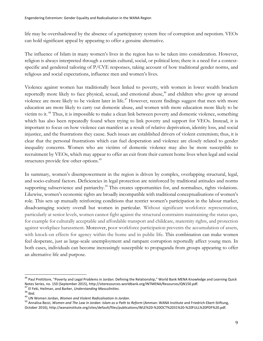life may be overshadowed by the absence of a participatory system free of corruption and nepotism. VEOs can hold significant appeal by appearing to offer a genuine alternative.

The influence of Islam in many women's lives in the region has to be taken into consideration. However, religion is always interpreted through a certain cultural, social, or political lens; there is a need for a contextspecific and gendered tailoring of P/CVE responses, taking account of how traditional gender norms, and religious and social expectations, influence men and women's lives.

Violence against women has traditionally been linked to poverty, with women in lower wealth brackets reportedly more likely to face physical, sexual, and emotional abuse,<sup>46</sup> and children who grow up around violence are more likely to be violent later in life.<sup>47</sup> However, recent findings suggest that men with more education are more likely to carry out domestic abuse, and women with more education more likely to be victim to it. <sup>48</sup> Thus, it is impossible to make a clean link between poverty and domestic violence, something which has also been repeatedly found when trying to link poverty and support for VEOs. Instead, it is important to focus on how violence can manifest as a result of relative deprivation, identity loss, and social injustice, and the frustrations they cause. Such issues are established drivers of violent extremism; thus, it is clear that the personal frustrations which can fuel desperation and violence are closely related to gender inequality concerns. Women who are victims of domestic violence may also be more susceptible to recruitment by VEOs, which may appear to offer an exit from their current home lives when legal and social structures provide few other options.<sup>49</sup>

In summary, women's disempowerment in the region is driven by complex, overlapping structural, legal, and socio-cultural factors. Deficiencies in legal protection are reinforced by traditional attitudes and norms supporting subservience and patriarchy.<sup>50</sup> This creates opportunities for, and normalises, rights violations. Likewise, women's economic rights are broadly incompatible with traditional conceptualisations of women's role. This sets up mutually reinforcing conditions that restrict women's participation in the labour market, disadvantaging society overall but women in particular. Without significant workforce representation, particularly at senior levels, women cannot fight against the structural constraints maintaining the status quo, for example for culturally acceptable and affordable transport and childcare, maternity rights, and protection against workplace harassment. Moreover, poor workforce participation prevents the accumulation of assets, with knock-on effects for agency within the home and in public life. This combination can make women feel desperate, just as large-scale unemployment and rampant corruption reportedly affect young men. In both cases, individuals can become increasingly susceptible to propaganda from groups appearing to offer an alternative life and purpose.

<sup>&</sup>lt;sup>46</sup> Paul Prettitore, "Poverty and Legal Problems in Jordan: Defining the Relationship," World Bank MENA Knowledge and Learning Quick<br>Notes Series, no. 150 (September 2015), http://siteresources.worldbank.org/INTMENA/Resou

<sup>&</sup>lt;sup>47</sup> El Feki, Heilman, and Barker, *Understanding Masculinities*.<br><sup>48</sup> Ibid.<br><sup>49</sup> UN Women Jordan, *Women and Violent Radicalisation in Jordan.*<br><sup>50</sup> Annalisa Bezzi, *Women and The Law in Jordan: Islam as a Path to Reform* October 2016), http://wanainstitute.org/sites/default/files/publications/WLE%20-%20OCT%2031%20-%20FULL%20PDF%20.pdf.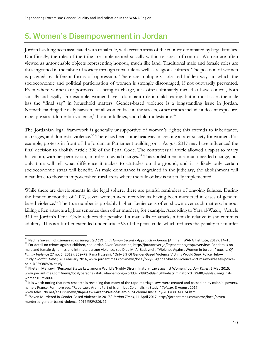#### 5. Women's Disempowerment in Jordan

Jordan has long been associated with tribal rule, with certain areas of the country dominated by large families. Unofficially, the rules of the tribe are implemented socially within set areas of control. Women are often viewed as untouchable objects representing honour, much like land. Traditional male and female roles are thus ingrained in the fabric of society through tribal rule as well as religious cultures. The position of women is plagued by different forms of oppression. There are multiple visible and hidden ways in which the socioeconomic and political participation of women is strongly discouraged, if not outwardly prevented. Even where women are portrayed as being in charge, it is often ultimately men that have control, both socially and legally. For example, women have a dominant role in child-rearing, but in most cases the male has the "final say" in household matters. Gender-based violence is a longstanding issue in Jordan. Notwithstanding the daily harassment all women face in the streets, other crimes include indecent exposure, rape, physical (domestic) violence,<sup>51</sup> honour killings, and child molestation.<sup>52</sup>

The Jordanian legal framework is generally unsupportive of women's rights; this extends to inheritance, marriages, and domestic violence.<sup>53</sup> There has been some headway in creating a safer society for women. For example, protests in front of the Jordanian Parliament building on 1 August 2017 may have influenced the final decision to abolish Article 308 of the Penal Code. The controversial article allowed a rapist to marry his victim, with her permission, in order to avoid charges. <sup>54</sup> This abolishment is a much-needed change, but only time will tell what difference it makes to attitudes on the ground, and it is likely only certain socioeconomic strata will benefit. As male dominance is engrained in the judiciary, the abolishment will mean little to those in impoverished rural areas where the rule of law is not fully implemented.

While there are developments in the legal sphere, there are painful reminders of ongoing failures. During the first four months of 2017, seven women were recorded as having been murdered in cases of genderbased violence.55 The true number is probably higher. Lenience is often shown over such matters: honour killing often attracts a lighter sentence than other murders, for example. According to Yara al-Wazir, "Article 340 of Jordan's Penal Code reduces the penalty if a man kills or attacks a female relative if she commits adultery. This is a further extended under article 98 of the penal code, which reduces the penalty for murder

<sup>&</sup>lt;sup>51</sup> Nadine Sayegh, *Challenges to an Integrated CVE and Human Security Approach in Jordan* (Amman: WANA Institute, 2017), 14–15.<br><sup>52</sup> For detail on crimes against children, see Jordan River Foundation, http://jordanriver

male and female dynamics and intimate partner violence, see Diab M. Al-Badayneh, "Violence Against Women In Jordan," *Journal Of Family Violence* 27 no. 5 (2012): 369–79; Rana Husseini, "Only 3% Of Gender-Based Violence Victims Would Seek Police Help— Study," *Jordan Times,* 28 February 2016, www.jordantimes.com/news/local/only-3-gender-based-violence-victims-would-seek-police-

help-%E2%80%94-study.<br><sup>53</sup> Khetam Malkawi, "Personal Status Law among World's 'Highly Discriminatory' Laws against Women," *Jordan Times,* 5 May 2015, www.jordantimes.com/news/local/personal-status-law-among-world%E2%80%99s-highly-discriminatory%E2%80%99-laws-againstwomen%E2%80%99.

<sup>&</sup>lt;sup>54</sup> It is worth noting that new research is revealing that many of the rape-marriage laws were created and passed on by colonial powers, namely France. For more see, "Rape Laws Aren't Part of Islam, but Colonialism: Study," *Telesur*, 3 August 2017,

www.telesurtv.net/english/news/Rape-Laws-Arent-Part-of-Islam-but-Colonialism-Study-20170803-0024.html.<br><sup>55</sup> "Seven Murdered in Gender-Based Violence in 2017," Jordan Times, 11 April 2017, http://jordantimes.com/news/local/ murdered-gender-based-violence-2017%E2%80%99.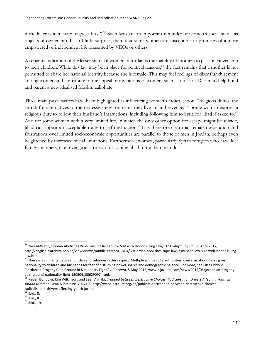if the killer is in a 'state of great fury.'"56 Such laws are an important reminder of women's social status as objects of ownership. It is of little surprise, then, that some women are susceptible to promises of a more empowered or independent life presented by VEOs or others.

A separate indication of the lesser status of women in Jordan is the inability of mothers to pass on citizenship to their children. While this law may be in place for political reasons,<sup>57</sup> the fact remains that a mother is not permitted to share her national identity because she is female. This may fuel feelings of disenfranchisement among women and contribute to the appeal of invitations to women, such as those of Daesh, to help build and parent a new idealised Muslim caliphate.

Three main push factors have been highlighted as influencing women's radicalisation: "religious duties, the search for alternatives to the repressive environments they live in, and revenge."<sup>58</sup> Some women express a religious duty to follow their husband's instructions, including following him to Syria for jihad if asked to.<sup>59</sup> And for some women with a very limited life, in which the only other option for escape might be suicide*,* jihad can appear an acceptable route to self-destruction.<sup>60</sup> It is therefore clear that female desperation and frustrations over limited socioeconomic opportunities are parallel to those of men in Jordan, perhaps even heightened by increased social limitations. Furthermore, women, particularly Syrian refugees who have lost family members, cite revenge as a reason for joining jihad more than men do.<sup>61</sup>

<sup>56</sup> Yara al-Wazir, "Jordan Abolishes Rape Law, It Must Follow Suit with Honor Killing Law," *Al Arabiya English*, <sup>30</sup> April 2017, http://english.alarabiya.net/en/views/news/middle-east/2017/04/30/Jordan-abolishes-rape-law-it-must-follow-suit-with-honor-killinglaw.html.

<sup>&</sup>lt;sup>57</sup> There is a similarity between Jordan and Lebanon in this respect. Multiple sources cite authorities' concerns about passing on nationality to children and husbands for fear of disturbing power shares and demographic balance. For more, see Elisa Oddone, "Jordanian Progeny Gain Ground in Nationality Fight," *Al Jazeera*, 5 May 2015, www.aljazeera.com/news/2015/05/jordanian-progeny-

<sup>&</sup>lt;sup>58</sup> Neven Bondokji, Kim Wilkinson, and Leen Aghabi, Trapped between Destructive Choices: Radicalisation Drivers Affecting Youth in *Jordan* (Amman: WANA Institute, 2017), 8, http://wanainstitute.org/en/publication/trapped-between-destructive-choicesradicalisation-drivers-affecting-youth-jordan.<br> $^{59}$  Ibid., 8.<br> $^{60}$  Ibid., 8.<br> $^{61}$  Ibid.. 19.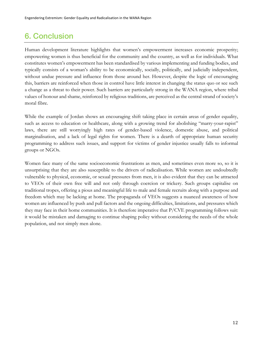#### 6. Conclusion

Human development literature highlights that women's empowerment increases economic prosperity; empowering women is thus beneficial for the community and the country, as well as for individuals. What constitutes women's empowerment has been standardised by various implementing and funding bodies, and typically consists of a woman's ability to be economically, socially, politically, and judicially independent, without undue pressure and influence from those around her. However, despite the logic of encouraging this, barriers are reinforced when those in control have little interest in changing the status quo or see such a change as a threat to their power. Such barriers are particularly strong in the WANA region, where tribal values of honour and shame, reinforced by religious traditions, are perceived as the central strand of society's moral fibre.

While the example of Jordan shows an encouraging shift taking place in certain areas of gender equality, such as access to education or healthcare, along with a growing trend for abolishing "marry-your-rapist" laws, there are still worryingly high rates of gender-based violence, domestic abuse, and political marginalisation, and a lack of legal rights for women. There is a dearth of appropriate human security programming to address such issues, and support for victims of gender injustice usually falls to informal groups or NGOs.

Women face many of the same socioeconomic frustrations as men, and sometimes even more so, so it is unsurprising that they are also susceptible to the drivers of radicalisation. While women are undoubtedly vulnerable to physical, economic, or sexual pressures from men, it is also evident that they can be attracted to VEOs of their own free will and not only through coercion or trickery. Such groups capitalise on traditional tropes, offering a pious and meaningful life to male and female recruits along with a purpose and freedom which may be lacking at home. The propaganda of VEOs suggests a nuanced awareness of how women are influenced by push and pull factors and the ongoing difficulties, limitations, and pressures which they may face in their home communities. It is therefore imperative that P/CVE programming follows suit: it would be mistaken and damaging to continue shaping policy without considering the needs of the whole population, and not simply men alone.